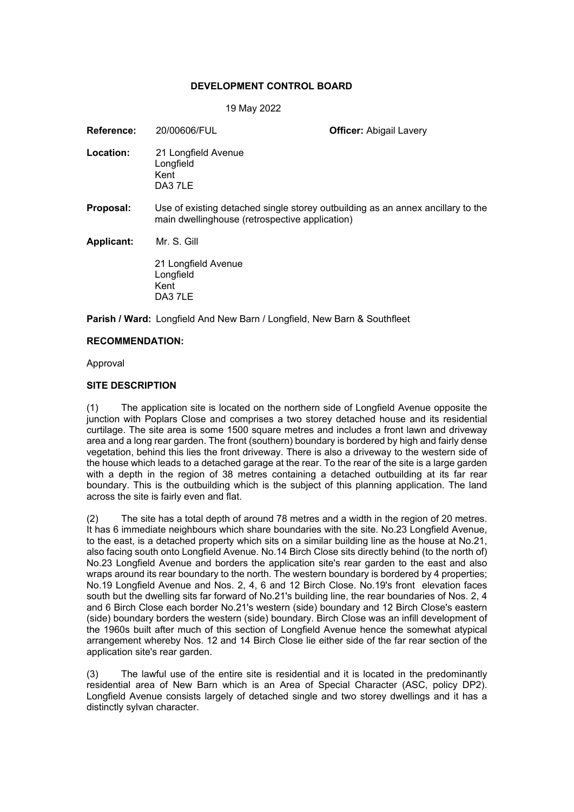## **DEVELOPMENT CONTROL BOARD**

#### 19 May 2022

| 20/00606/FUL                                                                                                                      | <b>Officer: Abigail Lavery</b> |
|-----------------------------------------------------------------------------------------------------------------------------------|--------------------------------|
| 21 Longfield Avenue<br>Longfield<br>Kent<br>DA3 7LE                                                                               |                                |
| Use of existing detached single storey outbuilding as an annex ancillary to the<br>main dwellinghouse (retrospective application) |                                |
| Mr. S. Gill                                                                                                                       |                                |
| 21 Longfield Avenue<br>Longfield<br>Kent<br>DA3 7LE                                                                               |                                |
|                                                                                                                                   |                                |

**Parish / Ward:** Longfield And New Barn / Longfield, New Barn & Southfleet

### **RECOMMENDATION:**

Approval

### **SITE DESCRIPTION**

(1) The application site is located on the northern side of Longfield Avenue opposite the junction with Poplars Close and comprises a two storey detached house and its residential curtilage. The site area is some 1500 square metres and includes a front lawn and driveway area and a long rear garden. The front (southern) boundary is bordered by high and fairly dense vegetation, behind this lies the front driveway. There is also a driveway to the western side of the house which leads to a detached garage at the rear. To the rear of the site is a large garden with a depth in the region of 38 metres containing a detached outbuilding at its far rear boundary. This is the outbuilding which is the subject of this planning application. The land across the site is fairly even and flat.

(2) The site has a total depth of around 78 metres and a width in the region of 20 metres. It has 6 immediate neighbours which share boundaries with the site. No.23 Longfield Avenue, to the east, is a detached property which sits on a similar building line as the house at No.21, also facing south onto Longfield Avenue. No.14 Birch Close sits directly behind (to the north of) No.23 Longfield Avenue and borders the application site's rear garden to the east and also wraps around its rear boundary to the north. The western boundary is bordered by 4 properties; No.19 Longfield Avenue and Nos. 2, 4, 6 and 12 Birch Close. No.19's front elevation faces south but the dwelling sits far forward of No.21's building line, the rear boundaries of Nos. 2, 4 and 6 Birch Close each border No.21's western (side) boundary and 12 Birch Close's eastern (side) boundary borders the western (side) boundary. Birch Close was an infill development of the 1960s built after much of this section of Longfield Avenue hence the somewhat atypical arrangement whereby Nos. 12 and 14 Birch Close lie either side of the far rear section of the application site's rear garden.

(3) The lawful use of the entire site is residential and it is located in the predominantly residential area of New Barn which is an Area of Special Character (ASC, policy DP2). Longfield Avenue consists largely of detached single and two storey dwellings and it has a distinctly sylvan character.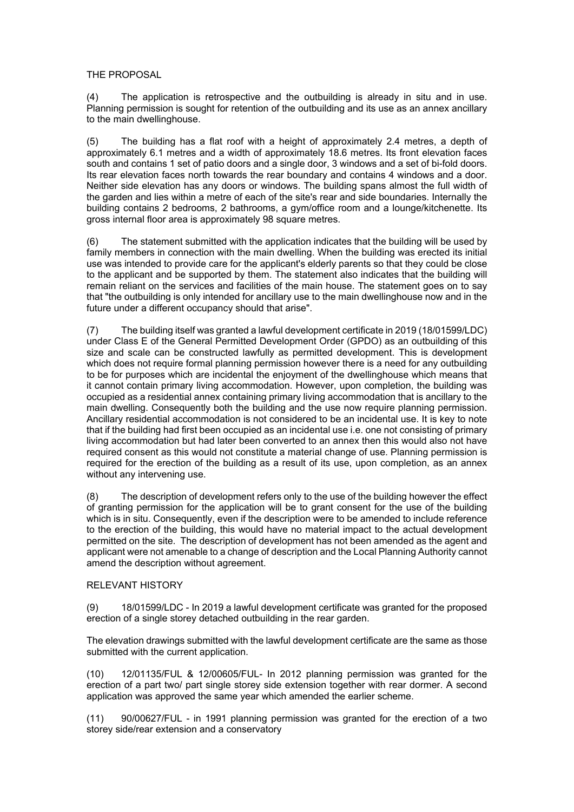## THE PROPOSAL

(4) The application is retrospective and the outbuilding is already in situ and in use. Planning permission is sought for retention of the outbuilding and its use as an annex ancillary to the main dwellinghouse.

(5) The building has a flat roof with a height of approximately 2.4 metres, a depth of approximately 6.1 metres and a width of approximately 18.6 metres. Its front elevation faces south and contains 1 set of patio doors and a single door, 3 windows and a set of bi-fold doors. Its rear elevation faces north towards the rear boundary and contains 4 windows and a door. Neither side elevation has any doors or windows. The building spans almost the full width of the garden and lies within a metre of each of the site's rear and side boundaries. Internally the building contains 2 bedrooms, 2 bathrooms, a gym/office room and a lounge/kitchenette. Its gross internal floor area is approximately 98 square metres.

(6) The statement submitted with the application indicates that the building will be used by family members in connection with the main dwelling. When the building was erected its initial use was intended to provide care for the applicant's elderly parents so that they could be close to the applicant and be supported by them. The statement also indicates that the building will remain reliant on the services and facilities of the main house. The statement goes on to say that "the outbuilding is only intended for ancillary use to the main dwellinghouse now and in the future under a different occupancy should that arise".

(7) The building itself was granted a lawful development certificate in 2019 (18/01599/LDC) under Class E of the General Permitted Development Order (GPDO) as an outbuilding of this size and scale can be constructed lawfully as permitted development. This is development which does not require formal planning permission however there is a need for any outbuilding to be for purposes which are incidental the enjoyment of the dwellinghouse which means that it cannot contain primary living accommodation. However, upon completion, the building was occupied as a residential annex containing primary living accommodation that is ancillary to the main dwelling. Consequently both the building and the use now require planning permission. Ancillary residential accommodation is not considered to be an incidental use. It is key to note that if the building had first been occupied as an incidental use i.e. one not consisting of primary living accommodation but had later been converted to an annex then this would also not have required consent as this would not constitute a material change of use. Planning permission is required for the erection of the building as a result of its use, upon completion, as an annex without any intervening use.

(8) The description of development refers only to the use of the building however the effect of granting permission for the application will be to grant consent for the use of the building which is in situ. Consequently, even if the description were to be amended to include reference to the erection of the building, this would have no material impact to the actual development permitted on the site. The description of development has not been amended as the agent and applicant were not amenable to a change of description and the Local Planning Authority cannot amend the description without agreement.

## RELEVANT HISTORY

(9) 18/01599/LDC - In 2019 a lawful development certificate was granted for the proposed erection of a single storey detached outbuilding in the rear garden.

The elevation drawings submitted with the lawful development certificate are the same as those submitted with the current application.

(10) 12/01135/FUL & 12/00605/FUL- In 2012 planning permission was granted for the erection of a part two/ part single storey side extension together with rear dormer. A second application was approved the same year which amended the earlier scheme.

(11) 90/00627/FUL - in 1991 planning permission was granted for the erection of a two storey side/rear extension and a conservatory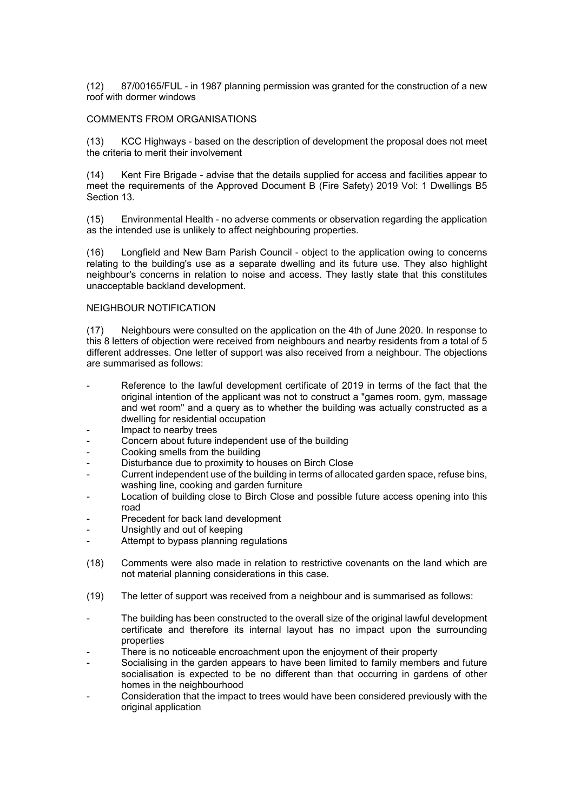(12) 87/00165/FUL - in 1987 planning permission was granted for the construction of a new roof with dormer windows

#### COMMENTS FROM ORGANISATIONS

(13) KCC Highways - based on the description of development the proposal does not meet the criteria to merit their involvement

(14) Kent Fire Brigade - advise that the details supplied for access and facilities appear to meet the requirements of the Approved Document B (Fire Safety) 2019 Vol: 1 Dwellings B5 Section 13.

(15) Environmental Health - no adverse comments or observation regarding the application as the intended use is unlikely to affect neighbouring properties.

(16) Longfield and New Barn Parish Council - object to the application owing to concerns relating to the building's use as a separate dwelling and its future use. They also highlight neighbour's concerns in relation to noise and access. They lastly state that this constitutes unacceptable backland development.

#### NEIGHBOUR NOTIFICATION

(17) Neighbours were consulted on the application on the 4th of June 2020. In response to this 8 letters of objection were received from neighbours and nearby residents from a total of 5 different addresses. One letter of support was also received from a neighbour. The objections are summarised as follows:

- Reference to the lawful development certificate of 2019 in terms of the fact that the original intention of the applicant was not to construct a "games room, gym, massage and wet room" and a query as to whether the building was actually constructed as a dwelling for residential occupation
- Impact to nearby trees
- Concern about future independent use of the building
- Cooking smells from the building
- Disturbance due to proximity to houses on Birch Close
- Current independent use of the building in terms of allocated garden space, refuse bins, washing line, cooking and garden furniture
- Location of building close to Birch Close and possible future access opening into this road
- Precedent for back land development
- Unsightly and out of keeping
- Attempt to bypass planning regulations
- (18) Comments were also made in relation to restrictive covenants on the land which are not material planning considerations in this case.
- (19) The letter of support was received from a neighbour and is summarised as follows:
- The building has been constructed to the overall size of the original lawful development certificate and therefore its internal layout has no impact upon the surrounding properties
- There is no noticeable encroachment upon the enjoyment of their property
- Socialising in the garden appears to have been limited to family members and future socialisation is expected to be no different than that occurring in gardens of other homes in the neighbourhood
- Consideration that the impact to trees would have been considered previously with the original application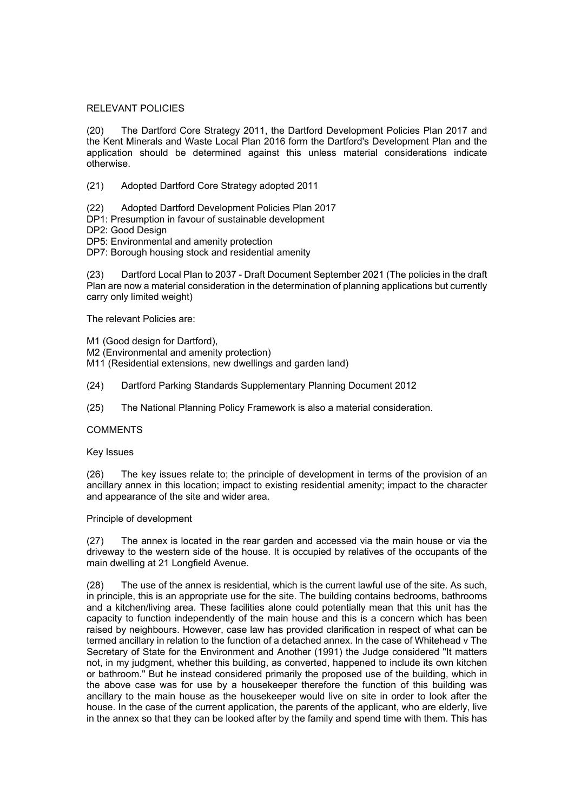### RELEVANT POLICIES

(20) The Dartford Core Strategy 2011, the Dartford Development Policies Plan 2017 and the Kent Minerals and Waste Local Plan 2016 form the Dartford's Development Plan and the application should be determined against this unless material considerations indicate otherwise.

(21) Adopted Dartford Core Strategy adopted 2011

- (22) Adopted Dartford Development Policies Plan 2017
- DP1: Presumption in favour of sustainable development
- DP2: Good Design
- DP5: Environmental and amenity protection
- DP7: Borough housing stock and residential amenity

(23) Dartford Local Plan to 2037 - Draft Document September 2021 (The policies in the draft Plan are now a material consideration in the determination of planning applications but currently carry only limited weight)

The relevant Policies are:

- M1 (Good design for Dartford),
- M2 (Environmental and amenity protection)
- M11 (Residential extensions, new dwellings and garden land)
- (24) Dartford Parking Standards Supplementary Planning Document 2012
- (25) The National Planning Policy Framework is also a material consideration.

### **COMMENTS**

### Key Issues

(26) The key issues relate to; the principle of development in terms of the provision of an ancillary annex in this location; impact to existing residential amenity; impact to the character and appearance of the site and wider area.

### Principle of development

(27) The annex is located in the rear garden and accessed via the main house or via the driveway to the western side of the house. It is occupied by relatives of the occupants of the main dwelling at 21 Longfield Avenue.

(28) The use of the annex is residential, which is the current lawful use of the site. As such, in principle, this is an appropriate use for the site. The building contains bedrooms, bathrooms and a kitchen/living area. These facilities alone could potentially mean that this unit has the capacity to function independently of the main house and this is a concern which has been raised by neighbours. However, case law has provided clarification in respect of what can be termed ancillary in relation to the function of a detached annex. In the case of Whitehead v The Secretary of State for the Environment and Another (1991) the Judge considered "It matters not, in my judgment, whether this building, as converted, happened to include its own kitchen or bathroom." But he instead considered primarily the proposed use of the building, which in the above case was for use by a housekeeper therefore the function of this building was ancillary to the main house as the housekeeper would live on site in order to look after the house. In the case of the current application, the parents of the applicant, who are elderly, live in the annex so that they can be looked after by the family and spend time with them. This has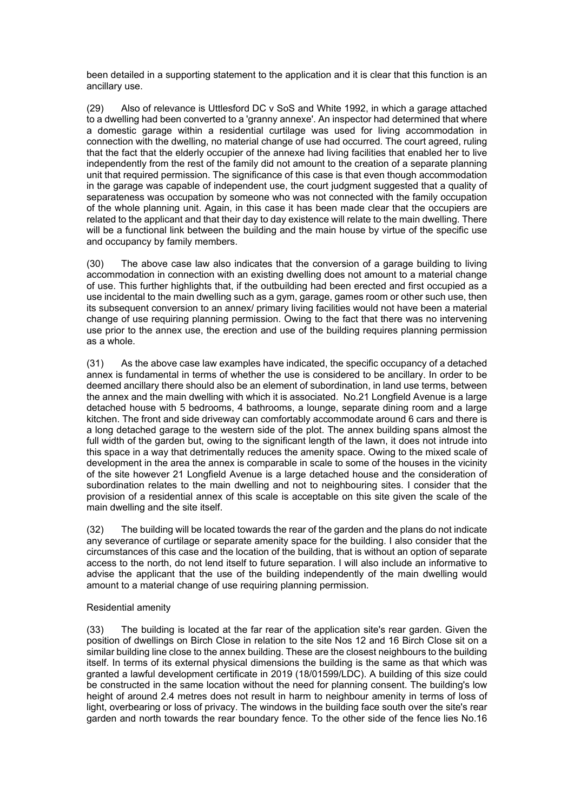been detailed in a supporting statement to the application and it is clear that this function is an ancillary use.

(29) Also of relevance is Uttlesford DC v SoS and White 1992, in which a garage attached to a dwelling had been converted to a 'granny annexe'. An inspector had determined that where a domestic garage within a residential curtilage was used for living accommodation in connection with the dwelling, no material change of use had occurred. The court agreed, ruling that the fact that the elderly occupier of the annexe had living facilities that enabled her to live independently from the rest of the family did not amount to the creation of a separate planning unit that required permission. The significance of this case is that even though accommodation in the garage was capable of independent use, the court judgment suggested that a quality of separateness was occupation by someone who was not connected with the family occupation of the whole planning unit. Again, in this case it has been made clear that the occupiers are related to the applicant and that their day to day existence will relate to the main dwelling. There will be a functional link between the building and the main house by virtue of the specific use and occupancy by family members.

(30) The above case law also indicates that the conversion of a garage building to living accommodation in connection with an existing dwelling does not amount to a material change of use. This further highlights that, if the outbuilding had been erected and first occupied as a use incidental to the main dwelling such as a gym, garage, games room or other such use, then its subsequent conversion to an annex/ primary living facilities would not have been a material change of use requiring planning permission. Owing to the fact that there was no intervening use prior to the annex use, the erection and use of the building requires planning permission as a whole.

(31) As the above case law examples have indicated, the specific occupancy of a detached annex is fundamental in terms of whether the use is considered to be ancillary. In order to be deemed ancillary there should also be an element of subordination, in land use terms, between the annex and the main dwelling with which it is associated. No.21 Longfield Avenue is a large detached house with 5 bedrooms, 4 bathrooms, a lounge, separate dining room and a large kitchen. The front and side driveway can comfortably accommodate around 6 cars and there is a long detached garage to the western side of the plot. The annex building spans almost the full width of the garden but, owing to the significant length of the lawn, it does not intrude into this space in a way that detrimentally reduces the amenity space. Owing to the mixed scale of development in the area the annex is comparable in scale to some of the houses in the vicinity of the site however 21 Longfield Avenue is a large detached house and the consideration of subordination relates to the main dwelling and not to neighbouring sites. I consider that the provision of a residential annex of this scale is acceptable on this site given the scale of the main dwelling and the site itself.

(32) The building will be located towards the rear of the garden and the plans do not indicate any severance of curtilage or separate amenity space for the building. I also consider that the circumstances of this case and the location of the building, that is without an option of separate access to the north, do not lend itself to future separation. I will also include an informative to advise the applicant that the use of the building independently of the main dwelling would amount to a material change of use requiring planning permission.

## Residential amenity

(33) The building is located at the far rear of the application site's rear garden. Given the position of dwellings on Birch Close in relation to the site Nos 12 and 16 Birch Close sit on a similar building line close to the annex building. These are the closest neighbours to the building itself. In terms of its external physical dimensions the building is the same as that which was granted a lawful development certificate in 2019 (18/01599/LDC). A building of this size could be constructed in the same location without the need for planning consent. The building's low height of around 2.4 metres does not result in harm to neighbour amenity in terms of loss of light, overbearing or loss of privacy. The windows in the building face south over the site's rear garden and north towards the rear boundary fence. To the other side of the fence lies No.16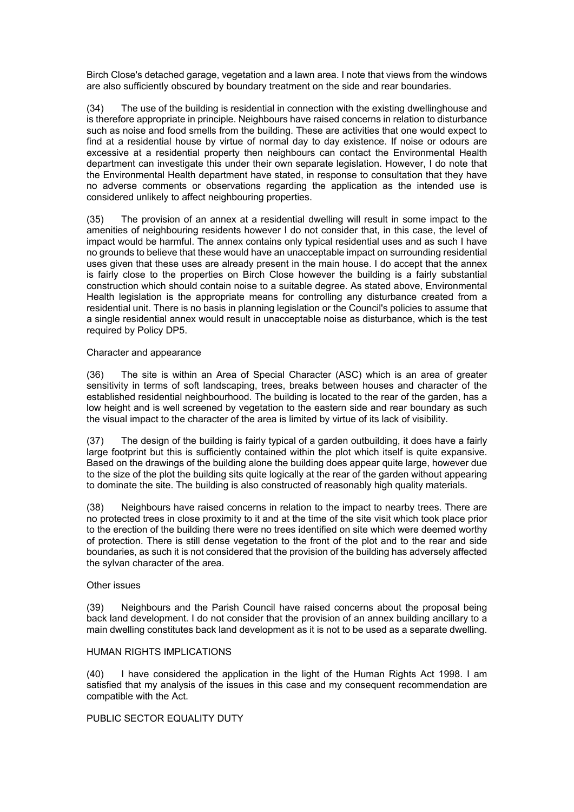Birch Close's detached garage, vegetation and a lawn area. I note that views from the windows are also sufficiently obscured by boundary treatment on the side and rear boundaries.

(34) The use of the building is residential in connection with the existing dwellinghouse and is therefore appropriate in principle. Neighbours have raised concerns in relation to disturbance such as noise and food smells from the building. These are activities that one would expect to find at a residential house by virtue of normal day to day existence. If noise or odours are excessive at a residential property then neighbours can contact the Environmental Health department can investigate this under their own separate legislation. However, I do note that the Environmental Health department have stated, in response to consultation that they have no adverse comments or observations regarding the application as the intended use is considered unlikely to affect neighbouring properties.

(35) The provision of an annex at a residential dwelling will result in some impact to the amenities of neighbouring residents however I do not consider that, in this case, the level of impact would be harmful. The annex contains only typical residential uses and as such I have no grounds to believe that these would have an unacceptable impact on surrounding residential uses given that these uses are already present in the main house. I do accept that the annex is fairly close to the properties on Birch Close however the building is a fairly substantial construction which should contain noise to a suitable degree. As stated above, Environmental Health legislation is the appropriate means for controlling any disturbance created from a residential unit. There is no basis in planning legislation or the Council's policies to assume that a single residential annex would result in unacceptable noise as disturbance, which is the test required by Policy DP5.

## Character and appearance

(36) The site is within an Area of Special Character (ASC) which is an area of greater sensitivity in terms of soft landscaping, trees, breaks between houses and character of the established residential neighbourhood. The building is located to the rear of the garden, has a low height and is well screened by vegetation to the eastern side and rear boundary as such the visual impact to the character of the area is limited by virtue of its lack of visibility.

(37) The design of the building is fairly typical of a garden outbuilding, it does have a fairly large footprint but this is sufficiently contained within the plot which itself is quite expansive. Based on the drawings of the building alone the building does appear quite large, however due to the size of the plot the building sits quite logically at the rear of the garden without appearing to dominate the site. The building is also constructed of reasonably high quality materials.

(38) Neighbours have raised concerns in relation to the impact to nearby trees. There are no protected trees in close proximity to it and at the time of the site visit which took place prior to the erection of the building there were no trees identified on site which were deemed worthy of protection. There is still dense vegetation to the front of the plot and to the rear and side boundaries, as such it is not considered that the provision of the building has adversely affected the sylvan character of the area.

## Other issues

(39) Neighbours and the Parish Council have raised concerns about the proposal being back land development. I do not consider that the provision of an annex building ancillary to a main dwelling constitutes back land development as it is not to be used as a separate dwelling.

### HUMAN RIGHTS IMPLICATIONS

(40) I have considered the application in the light of the Human Rights Act 1998. I am satisfied that my analysis of the issues in this case and my consequent recommendation are compatible with the Act.

## PUBLIC SECTOR EQUALITY DUTY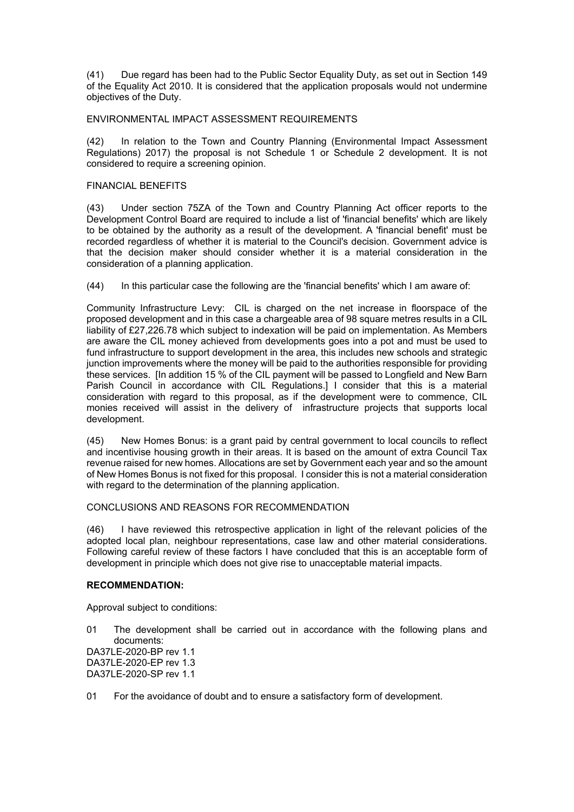(41) Due regard has been had to the Public Sector Equality Duty, as set out in Section 149 of the Equality Act 2010. It is considered that the application proposals would not undermine objectives of the Duty.

### ENVIRONMENTAL IMPACT ASSESSMENT REQUIREMENTS

(42) In relation to the Town and Country Planning (Environmental Impact Assessment Regulations) 2017) the proposal is not Schedule 1 or Schedule 2 development. It is not considered to require a screening opinion.

## FINANCIAL BENEFITS

(43) Under section 75ZA of the Town and Country Planning Act officer reports to the Development Control Board are required to include a list of 'financial benefits' which are likely to be obtained by the authority as a result of the development. A 'financial benefit' must be recorded regardless of whether it is material to the Council's decision. Government advice is that the decision maker should consider whether it is a material consideration in the consideration of a planning application.

(44) In this particular case the following are the 'financial benefits' which I am aware of:

Community Infrastructure Levy: CIL is charged on the net increase in floorspace of the proposed development and in this case a chargeable area of 98 square metres results in a CIL liability of £27,226.78 which subject to indexation will be paid on implementation. As Members are aware the CIL money achieved from developments goes into a pot and must be used to fund infrastructure to support development in the area, this includes new schools and strategic junction improvements where the money will be paid to the authorities responsible for providing these services. [In addition 15 % of the CIL payment will be passed to Longfield and New Barn Parish Council in accordance with CIL Regulations.] I consider that this is a material consideration with regard to this proposal, as if the development were to commence, CIL monies received will assist in the delivery of infrastructure projects that supports local development.

(45) New Homes Bonus: is a grant paid by central government to local councils to reflect and incentivise housing growth in their areas. It is based on the amount of extra Council Tax revenue raised for new homes. Allocations are set by Government each year and so the amount of New Homes Bonus is not fixed for this proposal. I consider this is not a material consideration with regard to the determination of the planning application.

### CONCLUSIONS AND REASONS FOR RECOMMENDATION

(46) I have reviewed this retrospective application in light of the relevant policies of the adopted local plan, neighbour representations, case law and other material considerations. Following careful review of these factors I have concluded that this is an acceptable form of development in principle which does not give rise to unacceptable material impacts.

### **RECOMMENDATION:**

Approval subject to conditions:

01 The development shall be carried out in accordance with the following plans and documents: DA37LE-2020-BP rev 1.1 DA37LE-2020-EP rev 1.3

DA37LE-2020-SP rev 1.1

### 01 For the avoidance of doubt and to ensure a satisfactory form of development.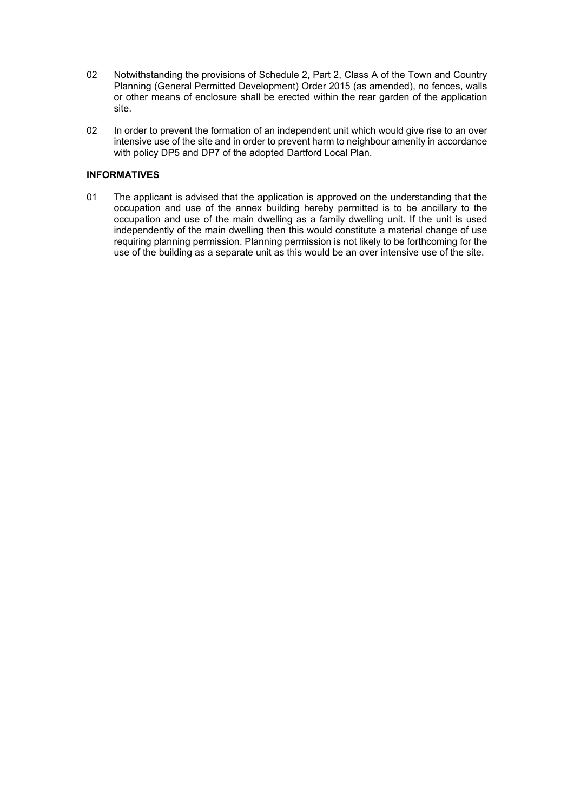- 02 Notwithstanding the provisions of Schedule 2, Part 2, Class A of the Town and Country Planning (General Permitted Development) Order 2015 (as amended), no fences, walls or other means of enclosure shall be erected within the rear garden of the application site.
- 02 In order to prevent the formation of an independent unit which would give rise to an over intensive use of the site and in order to prevent harm to neighbour amenity in accordance with policy DP5 and DP7 of the adopted Dartford Local Plan.

# **INFORMATIVES**

01 The applicant is advised that the application is approved on the understanding that the occupation and use of the annex building hereby permitted is to be ancillary to the occupation and use of the main dwelling as a family dwelling unit. If the unit is used independently of the main dwelling then this would constitute a material change of use requiring planning permission. Planning permission is not likely to be forthcoming for the use of the building as a separate unit as this would be an over intensive use of the site.